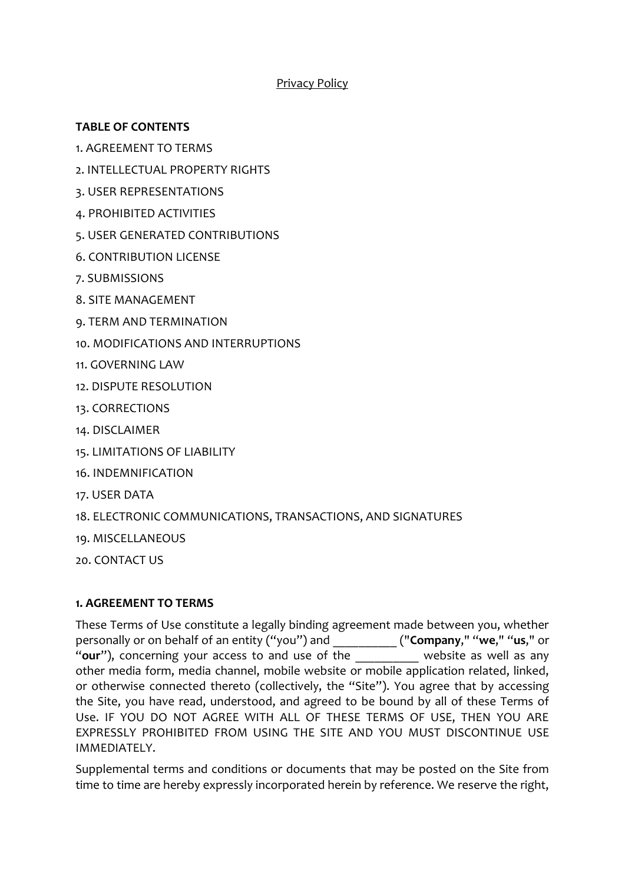# Privacy Policy

# **TABLE OF CONTENTS**

- 1. AGREEMENT TO TERMS
- 2. INTELLECTUAL PROPERTY RIGHTS
- 3. USER REPRESENTATIONS
- 4. PROHIBITED ACTIVITIES
- 5. USER GENERATED CONTRIBUTIONS
- 6. CONTRIBUTION LICENSE
- 7. SUBMISSIONS
- 8. SITE MANAGEMENT
- 9. TERM AND TERMINATION
- 10. MODIFICATIONS AND INTERRUPTIONS
- 11. GOVERNING LAW
- 12. DISPUTE RESOLUTION
- 13. CORRECTIONS
- 14. DISCLAIMER
- 15. LIMITATIONS OF LIABILITY
- 16. INDEMNIFICATION
- 17. USER DATA
- 18. ELECTRONIC COMMUNICATIONS, TRANSACTIONS, AND SIGNATURES
- 19. MISCELLANEOUS

20. CONTACT US

# **1. AGREEMENT TO TERMS**

These Terms of Use constitute a legally binding agreement made between you, whether personally or on behalf of an entity ("you") and \_\_\_\_\_\_\_\_\_\_ ("**Company**," "**we**," "**us**," or "**our**"), concerning your access to and use of the website as well as any other media form, media channel, mobile website or mobile application related, linked, or otherwise connected thereto (collectively, the "Site"). You agree that by accessing the Site, you have read, understood, and agreed to be bound by all of these Terms of Use. IF YOU DO NOT AGREE WITH ALL OF THESE TERMS OF USE, THEN YOU ARE EXPRESSLY PROHIBITED FROM USING THE SITE AND YOU MUST DISCONTINUE USE IMMEDIATELY.

Supplemental terms and conditions or documents that may be posted on the Site from time to time are hereby expressly incorporated herein by reference. We reserve the right,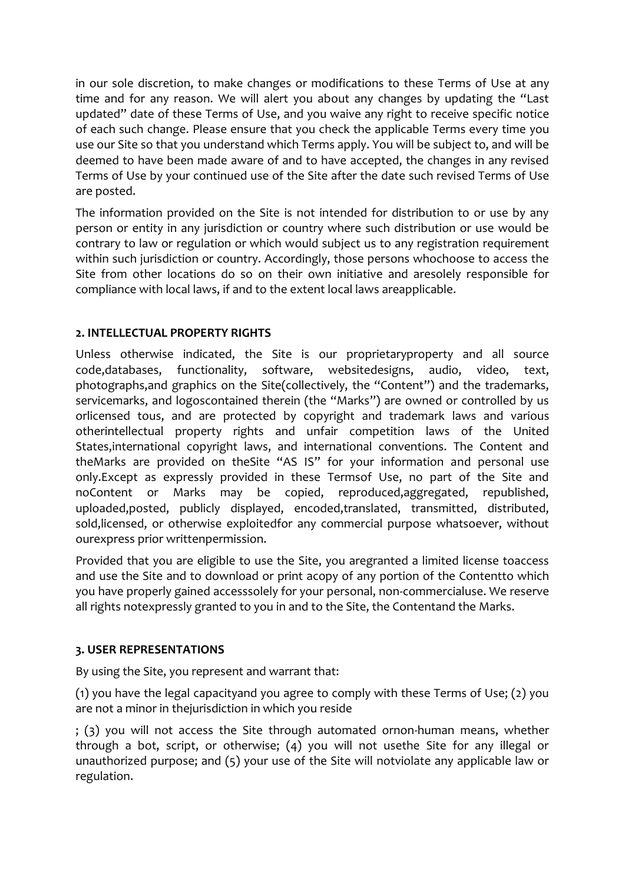in our sole discretion, to make changes or modifications to these Terms of Use at any time and for any reason. We will alert you about any changes by updating the "Last updated" date of these Terms of Use, and you waive any right to receive specific notice of each such change. Please ensure that you check the applicable Terms every time you use our Site so that you understand which Terms apply. You will be subject to, and will be deemed to have been made aware of and to have accepted, the changes in any revised Terms of Use by your continued use of the Site after the date such revised Terms of Use are posted.

The information provided on the Site is not intended for distribution to or use by any person or entity in any jurisdiction or country where such distribution or use would be contrary to law or regulation or which would subject us to any registration requirement within such jurisdiction or country. Accordingly, those persons whochoose to access the Site from other locations do so on their own initiative and aresolely responsible for compliance with local laws, if and to the extent local laws areapplicable.

# **2. INTELLECTUAL PROPERTY RIGHTS**

Unless otherwise indicated, the Site is our proprietaryproperty and all source code,databases, functionality, software, websitedesigns, audio, video, text, photographs,and graphics on the Site(collectively, the "Content") and the trademarks, servicemarks, and logoscontained therein (the "Marks") are owned or controlled by us orlicensed tous, and are protected by copyright and trademark laws and various otherintellectual property rights and unfair competition laws of the United States,international copyright laws, and international conventions. The Content and theMarks are provided on theSite "AS IS" for your information and personal use only.Except as expressly provided in these Termsof Use, no part of the Site and noContent or Marks may be copied, reproduced,aggregated, republished, uploaded,posted, publicly displayed, encoded,translated, transmitted, distributed, sold,licensed, or otherwise exploitedfor any commercial purpose whatsoever, without ourexpress prior writtenpermission.

Provided that you are eligible to use the Site, you aregranted a limited license toaccess and use the Site and to download or print acopy of any portion of the Contentto which you have properly gained accesssolely for your personal, non-commercialuse. We reserve all rights notexpressly granted to you in and to the Site, the Contentand the Marks.

# **3. USER REPRESENTATIONS**

By using the Site, you represent and warrant that:

(1) you have the legal capacityand you agree to comply with these Terms of Use; (2) you are not a minor in thejurisdiction in which you reside

; (3) you will not access the Site through automated ornon-human means, whether through a bot, script, or otherwise; (4) you will not usethe Site for any illegal or unauthorized purpose; and (5) your use of the Site will notviolate any applicable law or regulation.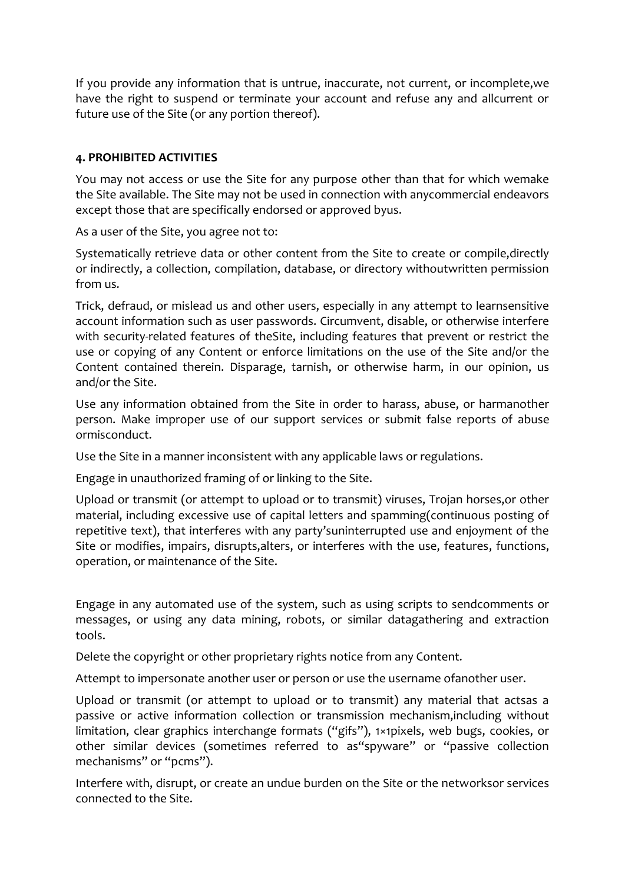If you provide any information that is untrue, inaccurate, not current, or incomplete,we have the right to suspend or terminate your account and refuse any and allcurrent or future use of the Site (or any portion thereof).

# **4. PROHIBITED ACTIVITIES**

You may not access or use the Site for any purpose other than that for which wemake the Site available. The Site may not be used in connection with anycommercial endeavors except those that are specifically endorsed or approved byus.

As a user of the Site, you agree not to:

Systematically retrieve data or other content from the Site to create or compile,directly or indirectly, a collection, compilation, database, or directory withoutwritten permission from us.

Trick, defraud, or mislead us and other users, especially in any attempt to learnsensitive account information such as user passwords. Circumvent, disable, or otherwise interfere with security-related features of theSite, including features that prevent or restrict the use or copying of any Content or enforce limitations on the use of the Site and/or the Content contained therein. Disparage, tarnish, or otherwise harm, in our opinion, us and/or the Site.

Use any information obtained from the Site in order to harass, abuse, or harmanother person. Make improper use of our support services or submit false reports of abuse ormisconduct.

Use the Site in a manner inconsistent with any applicable laws or regulations.

Engage in unauthorized framing of or linking to the Site.

Upload or transmit (or attempt to upload or to transmit) viruses, Trojan horses,or other material, including excessive use of capital letters and spamming(continuous posting of repetitive text), that interferes with any party'suninterrupted use and enjoyment of the Site or modifies, impairs, disrupts,alters, or interferes with the use, features, functions, operation, or maintenance of the Site.

Engage in any automated use of the system, such as using scripts to sendcomments or messages, or using any data mining, robots, or similar datagathering and extraction tools.

Delete the copyright or other proprietary rights notice from any Content.

Attempt to impersonate another user or person or use the username ofanother user.

Upload or transmit (or attempt to upload or to transmit) any material that actsas a passive or active information collection or transmission mechanism,including without limitation, clear graphics interchange formats ("gifs"), 1×1pixels, web bugs, cookies, or other similar devices (sometimes referred to as"spyware" or "passive collection mechanisms" or "pcms").

Interfere with, disrupt, or create an undue burden on the Site or the networksor services connected to the Site.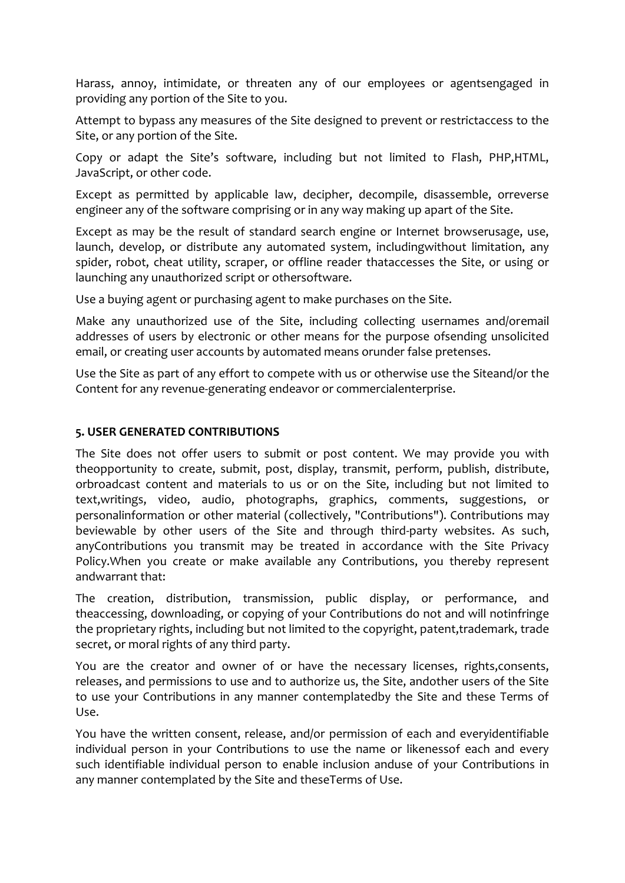Harass, annoy, intimidate, or threaten any of our employees or agentsengaged in providing any portion of the Site to you.

Attempt to bypass any measures of the Site designed to prevent or restrictaccess to the Site, or any portion of the Site.

Copy or adapt the Site's software, including but not limited to Flash, PHP,HTML, JavaScript, or other code.

Except as permitted by applicable law, decipher, decompile, disassemble, orreverse engineer any of the software comprising or in any way making up apart of the Site.

Except as may be the result of standard search engine or Internet browserusage, use, launch, develop, or distribute any automated system, includingwithout limitation, any spider, robot, cheat utility, scraper, or offline reader thataccesses the Site, or using or launching any unauthorized script or othersoftware.

Use a buying agent or purchasing agent to make purchases on the Site.

Make any unauthorized use of the Site, including collecting usernames and/oremail addresses of users by electronic or other means for the purpose ofsending unsolicited email, or creating user accounts by automated means orunder false pretenses.

Use the Site as part of any effort to compete with us or otherwise use the Siteand/or the Content for any revenue-generating endeavor or commercialenterprise.

## **5. USER GENERATED CONTRIBUTIONS**

The Site does not offer users to submit or post content. We may provide you with theopportunity to create, submit, post, display, transmit, perform, publish, distribute, orbroadcast content and materials to us or on the Site, including but not limited to text,writings, video, audio, photographs, graphics, comments, suggestions, or personalinformation or other material (collectively, "Contributions"). Contributions may beviewable by other users of the Site and through third-party websites. As such, anyContributions you transmit may be treated in accordance with the Site Privacy Policy.When you create or make available any Contributions, you thereby represent andwarrant that:

The creation, distribution, transmission, public display, or performance, and theaccessing, downloading, or copying of your Contributions do not and will notinfringe the proprietary rights, including but not limited to the copyright, patent,trademark, trade secret, or moral rights of any third party.

You are the creator and owner of or have the necessary licenses, rights,consents, releases, and permissions to use and to authorize us, the Site, andother users of the Site to use your Contributions in any manner contemplatedby the Site and these Terms of Use.

You have the written consent, release, and/or permission of each and everyidentifiable individual person in your Contributions to use the name or likenessof each and every such identifiable individual person to enable inclusion anduse of your Contributions in any manner contemplated by the Site and theseTerms of Use.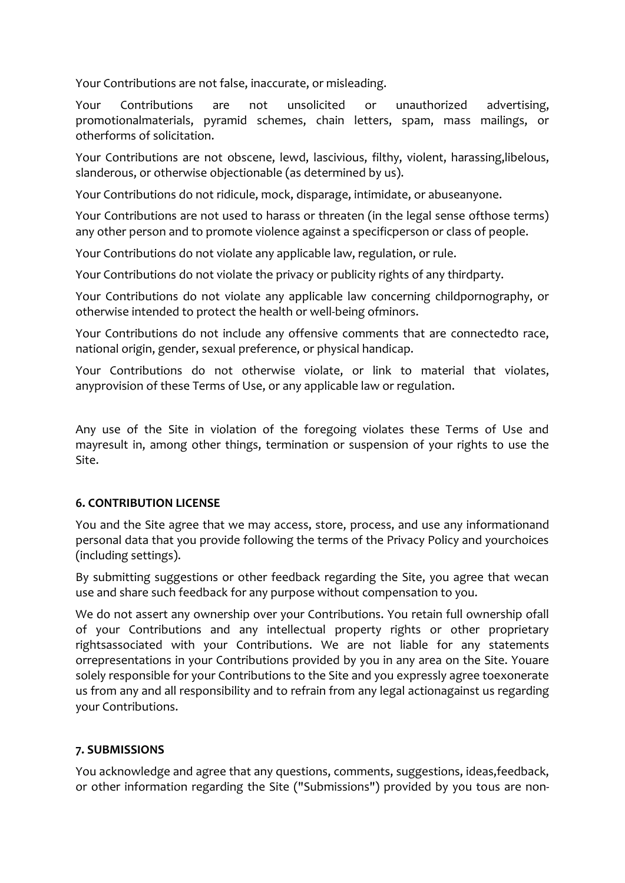Your Contributions are not false, inaccurate, or misleading.

Your Contributions are not unsolicited or unauthorized advertising, promotionalmaterials, pyramid schemes, chain letters, spam, mass mailings, or otherforms of solicitation.

Your Contributions are not obscene, lewd, lascivious, filthy, violent, harassing,libelous, slanderous, or otherwise objectionable (as determined by us).

Your Contributions do not ridicule, mock, disparage, intimidate, or abuseanyone.

Your Contributions are not used to harass or threaten (in the legal sense ofthose terms) any other person and to promote violence against a specificperson or class of people.

Your Contributions do not violate any applicable law, regulation, or rule.

Your Contributions do not violate the privacy or publicity rights of any thirdparty.

Your Contributions do not violate any applicable law concerning childpornography, or otherwise intended to protect the health or well-being ofminors.

Your Contributions do not include any offensive comments that are connectedto race, national origin, gender, sexual preference, or physical handicap.

Your Contributions do not otherwise violate, or link to material that violates, anyprovision of these Terms of Use, or any applicable law or regulation.

Any use of the Site in violation of the foregoing violates these Terms of Use and mayresult in, among other things, termination or suspension of your rights to use the Site.

# **6. CONTRIBUTION LICENSE**

You and the Site agree that we may access, store, process, and use any informationand personal data that you provide following the terms of the Privacy Policy and yourchoices (including settings).

By submitting suggestions or other feedback regarding the Site, you agree that wecan use and share such feedback for any purpose without compensation to you.

We do not assert any ownership over your Contributions. You retain full ownership ofall of your Contributions and any intellectual property rights or other proprietary rightsassociated with your Contributions. We are not liable for any statements orrepresentations in your Contributions provided by you in any area on the Site. Youare solely responsible for your Contributions to the Site and you expressly agree toexonerate us from any and all responsibility and to refrain from any legal actionagainst us regarding your Contributions.

### **7. SUBMISSIONS**

You acknowledge and agree that any questions, comments, suggestions, ideas,feedback, or other information regarding the Site ("Submissions") provided by you tous are non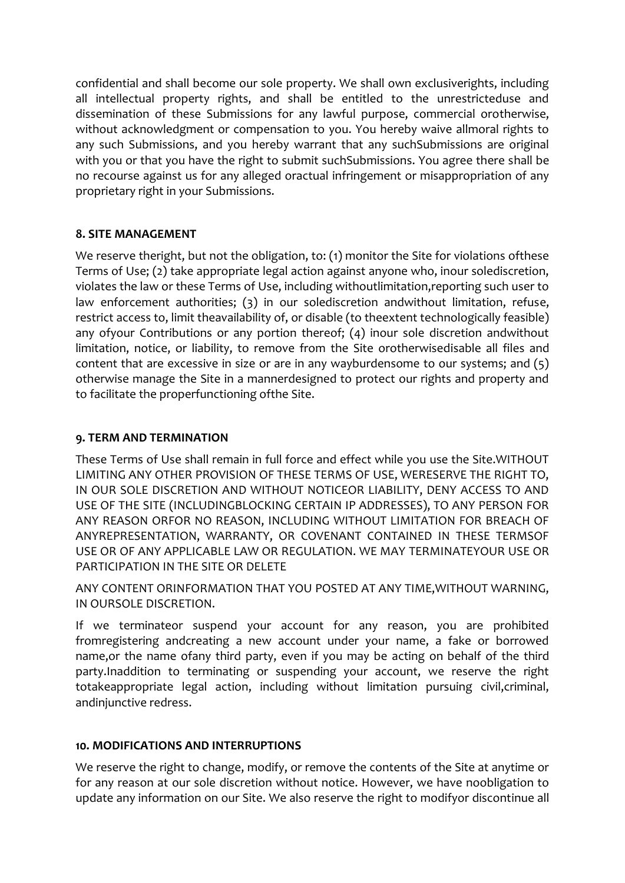confidential and shall become our sole property. We shall own exclusiverights, including all intellectual property rights, and shall be entitled to the unrestricteduse and dissemination of these Submissions for any lawful purpose, commercial orotherwise, without acknowledgment or compensation to you. You hereby waive allmoral rights to any such Submissions, and you hereby warrant that any suchSubmissions are original with you or that you have the right to submit suchSubmissions. You agree there shall be no recourse against us for any alleged oractual infringement or misappropriation of any proprietary right in your Submissions.

# **8. SITE MANAGEMENT**

We reserve theright, but not the obligation, to: (1) monitor the Site for violations ofthese Terms of Use; (2) take appropriate legal action against anyone who, inour solediscretion, violates the law or these Terms of Use, including withoutlimitation,reporting such user to law enforcement authorities; (3) in our solediscretion andwithout limitation, refuse, restrict access to, limit theavailability of, or disable (to theextent technologically feasible) any ofyour Contributions or any portion thereof; (4) inour sole discretion andwithout limitation, notice, or liability, to remove from the Site orotherwisedisable all files and content that are excessive in size or are in any wayburdensome to our systems; and (5) otherwise manage the Site in a mannerdesigned to protect our rights and property and to facilitate the properfunctioning ofthe Site.

# **9. TERM AND TERMINATION**

These Terms of Use shall remain in full force and effect while you use the Site.WITHOUT LIMITING ANY OTHER PROVISION OF THESE TERMS OF USE, WERESERVE THE RIGHT TO, IN OUR SOLE DISCRETION AND WITHOUT NOTICEOR LIABILITY, DENY ACCESS TO AND USE OF THE SITE (INCLUDINGBLOCKING CERTAIN IP ADDRESSES), TO ANY PERSON FOR ANY REASON ORFOR NO REASON, INCLUDING WITHOUT LIMITATION FOR BREACH OF ANYREPRESENTATION, WARRANTY, OR COVENANT CONTAINED IN THESE TERMSOF USE OR OF ANY APPLICABLE LAW OR REGULATION. WE MAY TERMINATEYOUR USE OR PARTICIPATION IN THE SITE OR DELETE

ANY CONTENT ORINFORMATION THAT YOU POSTED AT ANY TIME,WITHOUT WARNING, IN OURSOLE DISCRETION.

If we terminateor suspend your account for any reason, you are prohibited fromregistering andcreating a new account under your name, a fake or borrowed name,or the name ofany third party, even if you may be acting on behalf of the third party.Inaddition to terminating or suspending your account, we reserve the right totakeappropriate legal action, including without limitation pursuing civil,criminal, andinjunctive redress.

# **10. MODIFICATIONS AND INTERRUPTIONS**

We reserve the right to change, modify, or remove the contents of the Site at anytime or for any reason at our sole discretion without notice. However, we have noobligation to update any information on our Site. We also reserve the right to modifyor discontinue all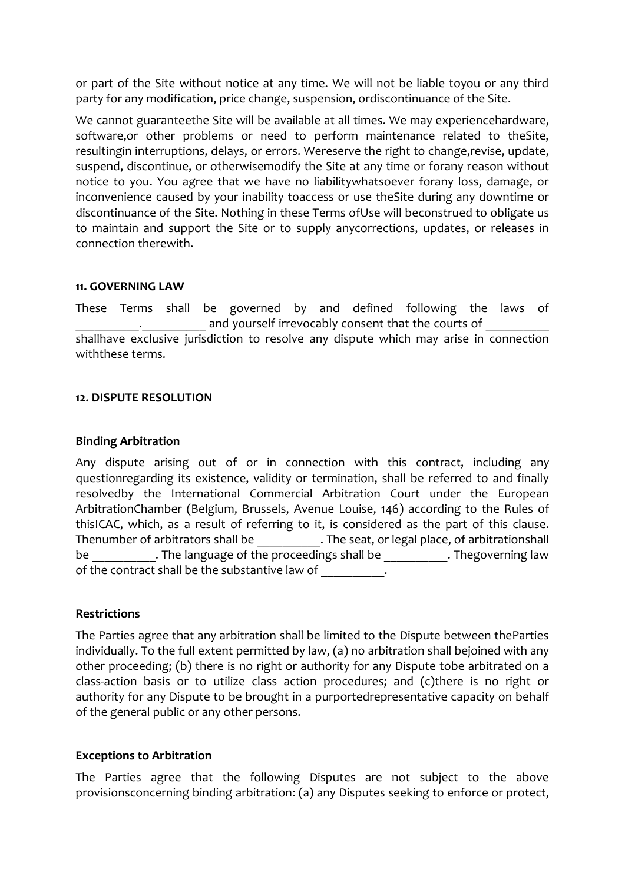or part of the Site without notice at any time. We will not be liable toyou or any third party for any modification, price change, suspension, ordiscontinuance of the Site.

We cannot guaranteethe Site will be available at all times. We may experiencehardware, software,or other problems or need to perform maintenance related to theSite, resultingin interruptions, delays, or errors. Wereserve the right to change,revise, update, suspend, discontinue, or otherwisemodify the Site at any time or forany reason without notice to you. You agree that we have no liabilitywhatsoever forany loss, damage, or inconvenience caused by your inability toaccess or use theSite during any downtime or discontinuance of the Site. Nothing in these Terms ofUse will beconstrued to obligate us to maintain and support the Site or to supply anycorrections, updates, or releases in connection therewith.

### **11. GOVERNING LAW**

These Terms shall be governed by and defined following the laws of and yourself irrevocably consent that the courts of shallhave exclusive jurisdiction to resolve any dispute which may arise in connection withthese terms.

## **12. DISPUTE RESOLUTION**

### **Binding Arbitration**

Any dispute arising out of or in connection with this contract, including any questionregarding its existence, validity or termination, shall be referred to and finally resolvedby the International Commercial Arbitration Court under the European ArbitrationChamber (Belgium, Brussels, Avenue Louise, 146) according to the Rules of thisICAC, which, as a result of referring to it, is considered as the part of this clause. Thenumber of arbitrators shall be  $\qquad \qquad$  . The seat, or legal place, of arbitrationshall be anguage of the proceedings shall be the proceedings shall be the governing law of the contract shall be the substantive law of  $\qquad \qquad$ .

### **Restrictions**

The Parties agree that any arbitration shall be limited to the Dispute between theParties individually. To the full extent permitted by law, (a) no arbitration shall bejoined with any other proceeding; (b) there is no right or authority for any Dispute tobe arbitrated on a class-action basis or to utilize class action procedures; and (c)there is no right or authority for any Dispute to be brought in a purportedrepresentative capacity on behalf of the general public or any other persons.

### **Exceptions to Arbitration**

The Parties agree that the following Disputes are not subject to the above provisionsconcerning binding arbitration: (a) any Disputes seeking to enforce or protect,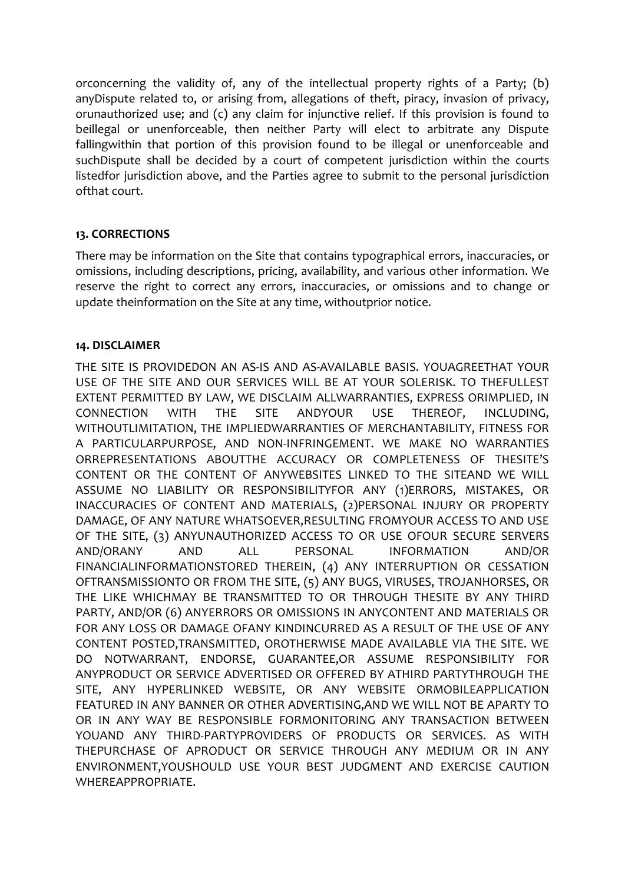orconcerning the validity of, any of the intellectual property rights of a Party; (b) anyDispute related to, or arising from, allegations of theft, piracy, invasion of privacy, orunauthorized use; and (c) any claim for injunctive relief. If this provision is found to beillegal or unenforceable, then neither Party will elect to arbitrate any Dispute fallingwithin that portion of this provision found to be illegal or unenforceable and suchDispute shall be decided by a court of competent jurisdiction within the courts listedfor jurisdiction above, and the Parties agree to submit to the personal jurisdiction ofthat court.

## **13. CORRECTIONS**

There may be information on the Site that contains typographical errors, inaccuracies, or omissions, including descriptions, pricing, availability, and various other information. We reserve the right to correct any errors, inaccuracies, or omissions and to change or update theinformation on the Site at any time, withoutprior notice.

## **14. DISCLAIMER**

THE SITE IS PROVIDEDON AN AS-IS AND AS-AVAILABLE BASIS. YOUAGREETHAT YOUR USE OF THE SITE AND OUR SERVICES WILL BE AT YOUR SOLERISK. TO THEFULLEST EXTENT PERMITTED BY LAW, WE DISCLAIM ALLWARRANTIES, EXPRESS ORIMPLIED, IN CONNECTION WITH THE SITE ANDYOUR USE THEREOF, INCLUDING, WITHOUTLIMITATION, THE IMPLIEDWARRANTIES OF MERCHANTABILITY, FITNESS FOR A PARTICULARPURPOSE, AND NON-INFRINGEMENT. WE MAKE NO WARRANTIES ORREPRESENTATIONS ABOUTTHE ACCURACY OR COMPLETENESS OF THESITE'S CONTENT OR THE CONTENT OF ANYWEBSITES LINKED TO THE SITEAND WE WILL ASSUME NO LIABILITY OR RESPONSIBILITYFOR ANY (1)ERRORS, MISTAKES, OR INACCURACIES OF CONTENT AND MATERIALS, (2)PERSONAL INJURY OR PROPERTY DAMAGE, OF ANY NATURE WHATSOEVER,RESULTING FROMYOUR ACCESS TO AND USE OF THE SITE, (3) ANYUNAUTHORIZED ACCESS TO OR USE OFOUR SECURE SERVERS AND/ORANY AND ALL PERSONAL INFORMATION AND/OR FINANCIALINFORMATIONSTORED THEREIN, (4) ANY INTERRUPTION OR CESSATION OFTRANSMISSIONTO OR FROM THE SITE, (5) ANY BUGS, VIRUSES, TROJANHORSES, OR THE LIKE WHICHMAY BE TRANSMITTED TO OR THROUGH THESITE BY ANY THIRD PARTY, AND/OR (6) ANYERRORS OR OMISSIONS IN ANYCONTENT AND MATERIALS OR FOR ANY LOSS OR DAMAGE OFANY KINDINCURRED AS A RESULT OF THE USE OF ANY CONTENT POSTED,TRANSMITTED, OROTHERWISE MADE AVAILABLE VIA THE SITE. WE DO NOTWARRANT, ENDORSE, GUARANTEE,OR ASSUME RESPONSIBILITY FOR ANYPRODUCT OR SERVICE ADVERTISED OR OFFERED BY ATHIRD PARTYTHROUGH THE SITE, ANY HYPERLINKED WEBSITE, OR ANY WEBSITE ORMOBILEAPPLICATION FEATURED IN ANY BANNER OR OTHER ADVERTISING,AND WE WILL NOT BE APARTY TO OR IN ANY WAY BE RESPONSIBLE FORMONITORING ANY TRANSACTION BETWEEN YOUAND ANY THIRD-PARTYPROVIDERS OF PRODUCTS OR SERVICES. AS WITH THEPURCHASE OF APRODUCT OR SERVICE THROUGH ANY MEDIUM OR IN ANY ENVIRONMENT,YOUSHOULD USE YOUR BEST JUDGMENT AND EXERCISE CAUTION WHEREAPPROPRIATE.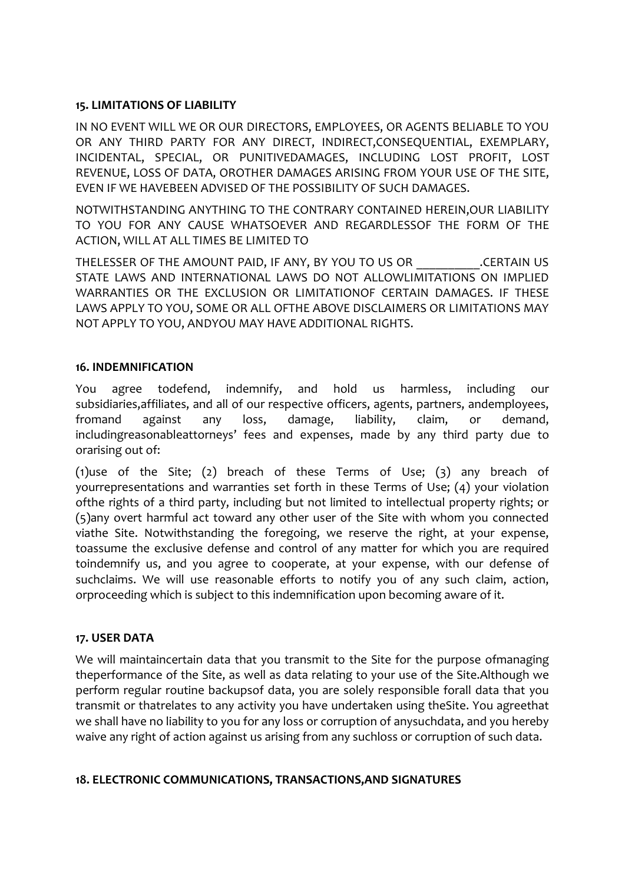# **15. LIMITATIONS OF LIABILITY**

IN NO EVENT WILL WE OR OUR DIRECTORS, EMPLOYEES, OR AGENTS BELIABLE TO YOU OR ANY THIRD PARTY FOR ANY DIRECT, INDIRECT,CONSEQUENTIAL, EXEMPLARY, INCIDENTAL, SPECIAL, OR PUNITIVEDAMAGES, INCLUDING LOST PROFIT, LOST REVENUE, LOSS OF DATA, OROTHER DAMAGES ARISING FROM YOUR USE OF THE SITE, EVEN IF WE HAVEBEEN ADVISED OF THE POSSIBILITY OF SUCH DAMAGES.

NOTWITHSTANDING ANYTHING TO THE CONTRARY CONTAINED HEREIN,OUR LIABILITY TO YOU FOR ANY CAUSE WHATSOEVER AND REGARDLESSOF THE FORM OF THE ACTION, WILL AT ALL TIMES BE LIMITED TO

THELESSER OF THE AMOUNT PAID, IF ANY, BY YOU TO US OR \_\_\_\_\_\_\_\_\_\_.CERTAIN US STATE LAWS AND INTERNATIONAL LAWS DO NOT ALLOWLIMITATIONS ON IMPLIED WARRANTIES OR THE EXCLUSION OR LIMITATIONOF CERTAIN DAMAGES. IF THESE LAWS APPLY TO YOU, SOME OR ALL OFTHE ABOVE DISCLAIMERS OR LIMITATIONS MAY NOT APPLY TO YOU, ANDYOU MAY HAVE ADDITIONAL RIGHTS.

# **16. INDEMNIFICATION**

You agree todefend, indemnify, and hold us harmless, including our subsidiaries,affiliates, and all of our respective officers, agents, partners, andemployees, fromand against any loss, damage, liability, claim, or demand, includingreasonableattorneys' fees and expenses, made by any third party due to orarising out of:

(1)use of the Site; (2) breach of these Terms of Use; (3) any breach of yourrepresentations and warranties set forth in these Terms of Use; (4) your violation ofthe rights of a third party, including but not limited to intellectual property rights; or (5)any overt harmful act toward any other user of the Site with whom you connected viathe Site. Notwithstanding the foregoing, we reserve the right, at your expense, toassume the exclusive defense and control of any matter for which you are required toindemnify us, and you agree to cooperate, at your expense, with our defense of suchclaims. We will use reasonable efforts to notify you of any such claim, action, orproceeding which is subject to this indemnification upon becoming aware of it.

# **17. USER DATA**

We will maintaincertain data that you transmit to the Site for the purpose ofmanaging theperformance of the Site, as well as data relating to your use of the Site.Although we perform regular routine backupsof data, you are solely responsible forall data that you transmit or thatrelates to any activity you have undertaken using theSite. You agreethat we shall have no liability to you for any loss or corruption of anysuchdata, and you hereby waive any right of action against us arising from any suchloss or corruption of such data.

# **18. ELECTRONIC COMMUNICATIONS, TRANSACTIONS,AND SIGNATURES**